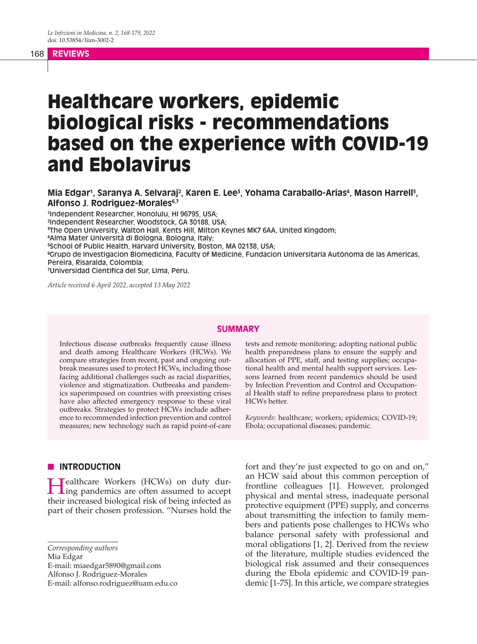#### 168 **REVIEWS**

# Healthcare workers, epidemic biological risks - recommendations based on the experience with COVID-19 and Ebolavirus

Mia Edgar<sup>1</sup>, Saranya A. Selvaraj<sup>2</sup>, Karen E. Lee<sup>3</sup>, Yohama Caraballo-Arias<sup>4</sup>, Mason Harrell<sup>5</sup>, **Alfonso J. Rodriguez-Morales6,7**

 Independent Researcher, Honolulu, HI 96795, USA; Independent Researcher, Woodstock, GA 30188, USA; The Open University, Walton Hall, Kents Hill, Milton Keynes MK7 6AA, United Kingdom; Alma Mater Università di Bologna, Bologna, Italy; School of Public Health, Harvard University, Boston, MA 02138, USA; Grupo de Investigacion Biomedicina, Faculty of Medicine, Fundacion Universitaria Autónoma de las Americas, Pereira, Risaralda, Colombia; Universidad Cientifica del Sur, Lima, Peru.

*Article received 6 April 2022, accepted 13 May 2022*

#### **SUMMARY**

Infectious disease outbreaks frequently cause illness and death among Healthcare Workers (HCWs). We compare strategies from recent, past and ongoing outbreak measures used to protect HCWs, including those facing additional challenges such as racial disparities, violence and stigmatization. Outbreaks and pandemics superimposed on countries with preexisting crises have also affected emergency response to these viral outbreaks. Strategies to protect HCWs include adherence to recommended infection prevention and control measures; new technology such as rapid point-of-care

#### **N** INTRODUCTION

Healthcare Workers (HCWs) on duty dur-ing pandemics are often assumed to accept their increased biological risk of being infected as part of their chosen profession. "Nurses hold the

E-mail: miaedgar5890@gmail.com

Alfonso J. Rodriguez-Morales

tests and remote monitoring; adopting national public health preparedness plans to ensure the supply and allocation of PPE, staff, and testing supplies; occupational health and mental health support services. Lessons learned from recent pandemics should be used by Infection Prevention and Control and Occupational Health staff to refine preparedness plans to protect HCWs better.

*Keywords*: healthcare; workers; epidemics; COVID-19; Ebola; occupational diseases; pandemic.

fort and they're just expected to go on and on," an HCW said about this common perception of frontline colleagues [1]. However, prolonged physical and mental stress, inadequate personal protective equipment (PPE) supply, and concerns about transmitting the infection to family members and patients pose challenges to HCWs who balance personal safety with professional and moral obligations [1, 2]. Derived from the review of the literature, multiple studies evidenced the biological risk assumed and their consequences during the Ebola epidemic and COVID-19 pandemic [1-75]. In this article, we compare strategies

*Corresponding authors*

Mia Edgar

E-mail: alfonso.rodriguez@uam.edu.co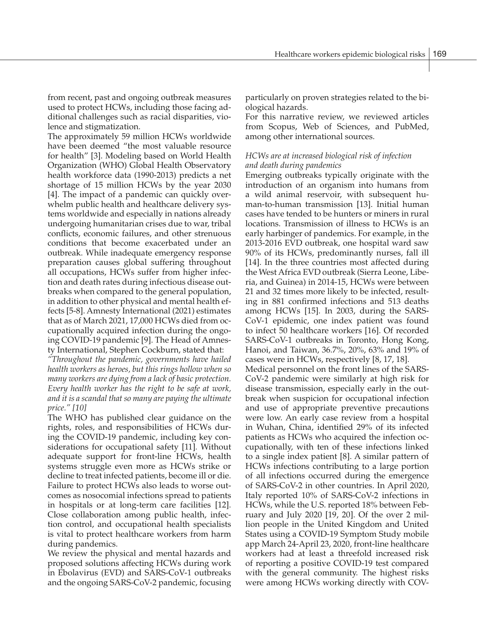from recent, past and ongoing outbreak measures used to protect HCWs, including those facing additional challenges such as racial disparities, violence and stigmatization.

The approximately 59 million HCWs worldwide have been deemed "the most valuable resource for health" [3]. Modeling based on World Health Organization (WHO) Global Health Observatory health workforce data (1990-2013) predicts a net shortage of 15 million HCWs by the year 2030 [4]. The impact of a pandemic can quickly overwhelm public health and healthcare delivery systems worldwide and especially in nations already undergoing humanitarian crises due to war, tribal conflicts, economic failures, and other strenuous conditions that become exacerbated under an outbreak. While inadequate emergency response preparation causes global suffering throughout all occupations, HCWs suffer from higher infection and death rates during infectious disease outbreaks when compared to the general population, in addition to other physical and mental health effects [5-8]. Amnesty International (2021) estimates that as of March 2021, 17,000 HCWs died from occupationally acquired infection during the ongoing COVID-19 pandemic [9]. The Head of Amnesty International, Stephen Cockburn, stated that:

*"Throughout the pandemic, governments have hailed health workers as heroes, but this rings hollow when so many workers are dying from a lack of basic protection. Every health worker has the right to be safe at work, and it is a scandal that so many are paying the ultimate price." [10]*

The WHO has published clear guidance on the rights, roles, and responsibilities of HCWs during the COVID-19 pandemic, including key considerations for occupational safety [11]*.* Without adequate support for front-line HCWs, health systems struggle even more as HCWs strike or decline to treat infected patients, become ill or die. Failure to protect HCWs also leads to worse outcomes as nosocomial infections spread to patients in hospitals or at long-term care facilities [12]. Close collaboration among public health, infection control, and occupational health specialists is vital to protect healthcare workers from harm during pandemics.

We review the physical and mental hazards and proposed solutions affecting HCWs during work in Ebolavirus (EVD) and SARS-CoV-1 outbreaks and the ongoing SARS-CoV-2 pandemic, focusing particularly on proven strategies related to the biological hazards.

For this narrative review, we reviewed articles from Scopus, Web of Sciences, and PubMed, among other international sources.

## *HCWs are at increased biological risk of infection and death during pandemics*

Emerging outbreaks typically originate with the introduction of an organism into humans from a wild animal reservoir, with subsequent human-to-human transmission [13]. Initial human cases have tended to be hunters or miners in rural locations. Transmission of illness to HCWs is an early harbinger of pandemics. For example, in the 2013-2016 EVD outbreak, one hospital ward saw 90% of its HCWs, predominantly nurses, fall ill [14]. In the three countries most affected during the West Africa EVD outbreak (Sierra Leone, Liberia, and Guinea) in 2014-15, HCWs were between 21 and 32 times more likely to be infected, resulting in 881 confirmed infections and 513 deaths among HCWs [15]. In 2003, during the SARS-CoV-1 epidemic, one index patient was found to infect 50 healthcare workers [16]. Of recorded SARS-CoV-1 outbreaks in Toronto, Hong Kong, Hanoi, and Taiwan, 36.7%, 20%, 63% and 19% of cases were in HCWs, respectively [8, 17, 18].

Medical personnel on the front lines of the SARS-CoV-2 pandemic were similarly at high risk for disease transmission, especially early in the outbreak when suspicion for occupational infection and use of appropriate preventive precautions were low. An early case review from a hospital in Wuhan, China, identified 29% of its infected patients as HCWs who acquired the infection occupationally, with ten of these infections linked to a single index patient [8]. A similar pattern of HCWs infections contributing to a large portion of all infections occurred during the emergence of SARS-CoV-2 in other countries. In April 2020, Italy reported 10% of SARS-CoV-2 infections in HCWs, while the U.S. reported 18% between February and July 2020 [19, 20]. Of the over 2 million people in the United Kingdom and United States using a COVID-19 Symptom Study mobile app March 24-April 23, 2020, front-line healthcare workers had at least a threefold increased risk of reporting a positive COVID-19 test compared with the general community. The highest risks were among HCWs working directly with COV-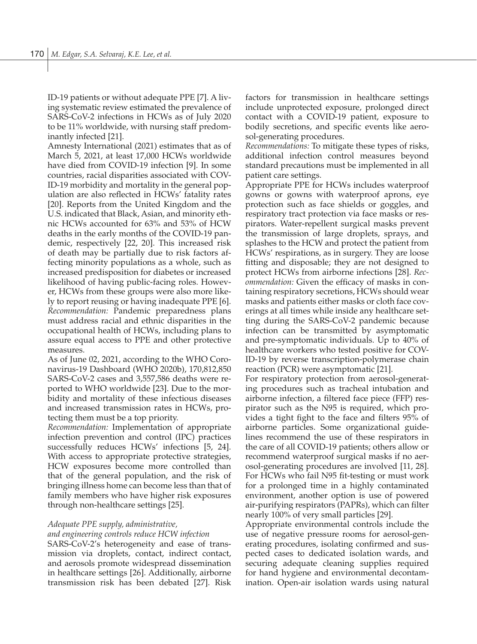ID-19 patients or without adequate PPE [7]. A living systematic review estimated the prevalence of SARS-CoV-2 infections in HCWs as of July 2020 to be 11% worldwide, with nursing staff predominantly infected [21].

Amnesty International (2021) estimates that as of March 5, 2021, at least 17,000 HCWs worldwide have died from COVID-19 infection [9]. In some countries, racial disparities associated with COV-ID-19 morbidity and mortality in the general population are also reflected in HCWs' fatality rates [20]. Reports from the United Kingdom and the U.S. indicated that Black, Asian, and minority ethnic HCWs accounted for 63% and 53% of HCW deaths in the early months of the COVID-19 pandemic, respectively [22, 20]. This increased risk of death may be partially due to risk factors affecting minority populations as a whole, such as increased predisposition for diabetes or increased likelihood of having public-facing roles. However, HCWs from these groups were also more likely to report reusing or having inadequate PPE [6]. *Recommendation:* Pandemic preparedness plans must address racial and ethnic disparities in the occupational health of HCWs, including plans to assure equal access to PPE and other protective measures.

As of June 02, 2021, according to the WHO Coronavirus-19 Dashboard (WHO 2020b), 170,812,850 SARS-CoV-2 cases and 3,557,586 deaths were reported to WHO worldwide [23]. Due to the morbidity and mortality of these infectious diseases and increased transmission rates in HCWs, protecting them must be a top priority.

*Recommendation:* Implementation of appropriate infection prevention and control (IPC) practices successfully reduces HCWs' infections [5, 24]. With access to appropriate protective strategies, HCW exposures become more controlled than that of the general population, and the risk of bringing illness home can become less than that of family members who have higher risk exposures through non-healthcare settings [25].

## *Adequate PPE supply, administrative,*

## *and engineering controls reduce HCW infection*

SARS-CoV-2's heterogeneity and ease of transmission via droplets, contact, indirect contact, and aerosols promote widespread dissemination in healthcare settings [26]. Additionally, airborne transmission risk has been debated [27]. Risk factors for transmission in healthcare settings include unprotected exposure, prolonged direct contact with a COVID-19 patient, exposure to bodily secretions, and specific events like aerosol-generating procedures.

*Recommendations:* To mitigate these types of risks, additional infection control measures beyond standard precautions must be implemented in all patient care settings.

Appropriate PPE for HCWs includes waterproof gowns or gowns with waterproof aprons, eye protection such as face shields or goggles, and respiratory tract protection via face masks or respirators. Water-repellent surgical masks prevent the transmission of large droplets, sprays, and splashes to the HCW and protect the patient from HCWs' respirations, as in surgery. They are loose fitting and disposable; they are not designed to protect HCWs from airborne infections [28]. *Recommendation:* Given the efficacy of masks in containing respiratory secretions, HCWs should wear masks and patients either masks or cloth face coverings at all times while inside any healthcare setting during the SARS-CoV-2 pandemic because infection can be transmitted by asymptomatic and pre-symptomatic individuals. Up to 40% of healthcare workers who tested positive for COV-ID-19 by reverse transcription-polymerase chain reaction (PCR) were asymptomatic [21].

For respiratory protection from aerosol-generating procedures such as tracheal intubation and airborne infection, a filtered face piece (FFP) respirator such as the N95 is required, which provides a tight fight to the face and filters 95% of airborne particles. Some organizational guidelines recommend the use of these respirators in the care of all COVID-19 patients; others allow or recommend waterproof surgical masks if no aerosol-generating procedures are involved [11, 28]. For HCWs who fail N95 fit-testing or must work for a prolonged time in a highly contaminated environment, another option is use of powered air-purifying respirators (PAPRs), which can filter nearly 100% of very small particles [29].

Appropriate environmental controls include the use of negative pressure rooms for aerosol-generating procedures, isolating confirmed and suspected cases to dedicated isolation wards, and securing adequate cleaning supplies required for hand hygiene and environmental decontamination. Open-air isolation wards using natural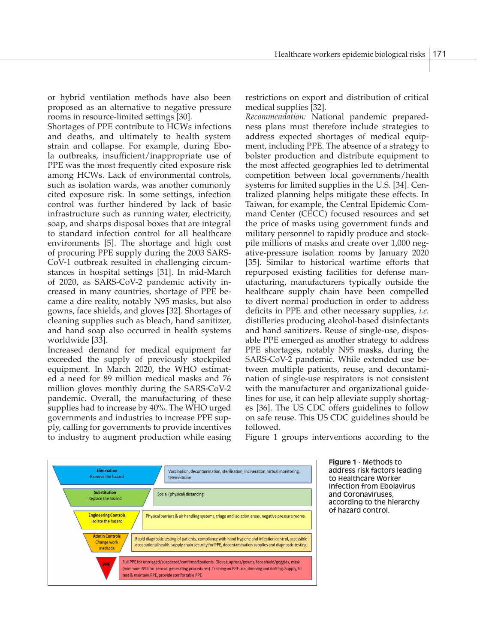or hybrid ventilation methods have also been proposed as an alternative to negative pressure rooms in resource-limited settings [30].

Shortages of PPE contribute to HCWs infections and deaths, and ultimately to health system strain and collapse. For example, during Ebola outbreaks, insufficient/inappropriate use of PPE was the most frequently cited exposure risk among HCWs. Lack of environmental controls, such as isolation wards, was another commonly cited exposure risk. In some settings, infection control was further hindered by lack of basic infrastructure such as running water, electricity, soap, and sharps disposal boxes that are integral to standard infection control for all healthcare environments [5]. The shortage and high cost of procuring PPE supply during the 2003 SARS-CoV-1 outbreak resulted in challenging circumstances in hospital settings [31]. In mid-March of 2020, as SARS-CoV-2 pandemic activity increased in many countries, shortage of PPE became a dire reality, notably N95 masks, but also gowns, face shields, and gloves [32]. Shortages of cleaning supplies such as bleach, hand sanitizer, and hand soap also occurred in health systems worldwide [33].

Increased demand for medical equipment far exceeded the supply of previously stockpiled equipment. In March 2020, the WHO estimated a need for 89 million medical masks and 76 million gloves monthly during the SARS-CoV-2 pandemic. Overall, the manufacturing of these supplies had to increase by 40%. The WHO urged governments and industries to increase PPE supply, calling for governments to provide incentives to industry to augment production while easing restrictions on export and distribution of critical medical supplies [32].

*Recommendation:* National pandemic preparedness plans must therefore include strategies to address expected shortages of medical equipment, including PPE. The absence of a strategy to bolster production and distribute equipment to the most affected geographies led to detrimental competition between local governments/health systems for limited supplies in the U.S. [34]. Centralized planning helps mitigate these effects. In Taiwan, for example, the Central Epidemic Command Center (CECC) focused resources and set the price of masks using government funds and military personnel to rapidly produce and stockpile millions of masks and create over 1,000 negative-pressure isolation rooms by January 2020 [35]. Similar to historical wartime efforts that repurposed existing facilities for defense manufacturing, manufacturers typically outside the healthcare supply chain have been compelled to divert normal production in order to address deficits in PPE and other necessary supplies, *i.e.* distilleries producing alcohol-based disinfectants and hand sanitizers. Reuse of single-use, disposable PPE emerged as another strategy to address PPE shortages, notably N95 masks, during the SARS-CoV-2 pandemic. While extended use between multiple patients, reuse, and decontamination of single-use respirators is not consistent with the manufacturer and organizational guidelines for use, it can help alleviate supply shortages [36]. The US CDC offers guidelines to follow on safe reuse. This US CDC guidelines should be followed.



Figure 1 groups interventions according to the

**Figure 1** - Methods to address risk factors leading to Healthcare Worker Infection from Ebolavirus and Coronaviruses, according to the hierarchy of hazard control.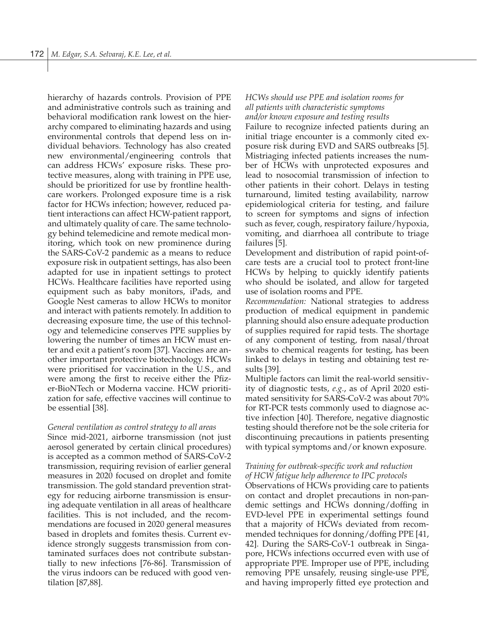hierarchy of hazards controls. Provision of PPE and administrative controls such as training and behavioral modification rank lowest on the hierarchy compared to eliminating hazards and using environmental controls that depend less on individual behaviors. Technology has also created new environmental/engineering controls that can address HCWs' exposure risks. These protective measures, along with training in PPE use, should be prioritized for use by frontline healthcare workers. Prolonged exposure time is a risk factor for HCWs infection; however, reduced patient interactions can affect HCW-patient rapport, and ultimately quality of care. The same technology behind telemedicine and remote medical monitoring, which took on new prominence during the SARS-CoV-2 pandemic as a means to reduce exposure risk in outpatient settings, has also been adapted for use in inpatient settings to protect HCWs. Healthcare facilities have reported using equipment such as baby monitors, iPads, and Google Nest cameras to allow HCWs to monitor and interact with patients remotely. In addition to decreasing exposure time, the use of this technology and telemedicine conserves PPE supplies by lowering the number of times an HCW must enter and exit a patient's room [37]. Vaccines are another important protective biotechnology. HCWs were prioritised for vaccination in the U.S., and were among the first to receive either the Pfizer-BioNTech or Moderna vaccine. HCW prioritization for safe, effective vaccines will continue to be essential [38].

## *General ventilation as control strategy to all areas*

Since mid-2021, airborne transmission (not just aerosol generated by certain clinical procedures) is accepted as a common method of SARS-CoV-2 transmission, requiring revision of earlier general measures in 2020 focused on droplet and fomite transmission. The gold standard prevention strategy for reducing airborne transmission is ensuring adequate ventilation in all areas of healthcare facilities. This is not included, and the recommendations are focused in 2020 general measures based in droplets and fomites thesis. Current evidence strongly suggests transmission from contaminated surfaces does not contribute substantially to new infections [76-86]. Transmission of the virus indoors can be reduced with good ventilation [87,88].

# *HCWs should use PPE and isolation rooms for all patients with characteristic symptoms and/or known exposure and testing results*

Failure to recognize infected patients during an initial triage encounter is a commonly cited exposure risk during EVD and SARS outbreaks [5]. Mistriaging infected patients increases the number of HCWs with unprotected exposures and lead to nosocomial transmission of infection to other patients in their cohort. Delays in testing turnaround, limited testing availability, narrow epidemiological criteria for testing, and failure to screen for symptoms and signs of infection such as fever, cough, respiratory failure/hypoxia, vomiting, and diarrhoea all contribute to triage failures [5].

Development and distribution of rapid point-ofcare tests are a crucial tool to protect front-line HCWs by helping to quickly identify patients who should be isolated, and allow for targeted use of isolation rooms and PPE.

*Recommendation:* National strategies to address production of medical equipment in pandemic planning should also ensure adequate production of supplies required for rapid tests. The shortage of any component of testing, from nasal/throat swabs to chemical reagents for testing, has been linked to delays in testing and obtaining test results [39].

Multiple factors can limit the real-world sensitivity of diagnostic tests, *e.g.*, as of April 2020 estimated sensitivity for SARS-CoV-2 was about 70% for RT-PCR tests commonly used to diagnose active infection [40]. Therefore, negative diagnostic testing should therefore not be the sole criteria for discontinuing precautions in patients presenting with typical symptoms and/or known exposure.

# *Training for outbreak-specific work and reduction of HCW fatigue help adherence to IPC protocols*

Observations of HCWs providing care to patients on contact and droplet precautions in non-pandemic settings and HCWs donning/doffing in EVD-level PPE in experimental settings found that a majority of HCWs deviated from recommended techniques for donning/doffing PPE [41, 42]. During the SARS-CoV-1 outbreak in Singapore, HCWs infections occurred even with use of appropriate PPE. Improper use of PPE, including removing PPE unsafely, reusing single-use PPE, and having improperly fitted eye protection and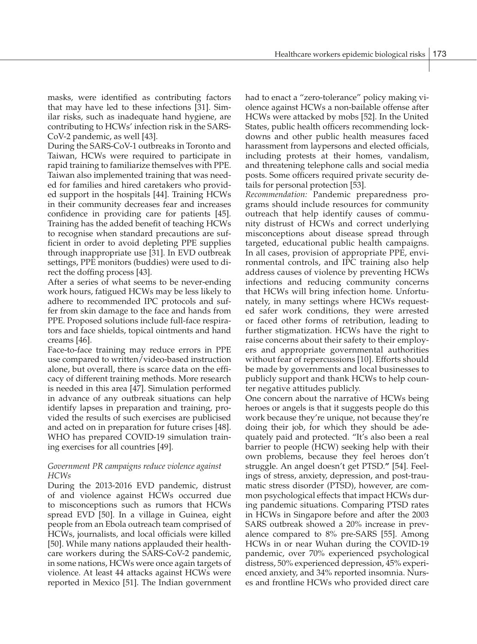masks, were identified as contributing factors that may have led to these infections [31]. Similar risks, such as inadequate hand hygiene, are contributing to HCWs' infection risk in the SARS-CoV-2 pandemic, as well [43].

During the SARS-CoV-1 outbreaks in Toronto and Taiwan, HCWs were required to participate in rapid training to familiarize themselves with PPE. Taiwan also implemented training that was needed for families and hired caretakers who provided support in the hospitals [44]. Training HCWs in their community decreases fear and increases confidence in providing care for patients [45]. Training has the added benefit of teaching HCWs to recognise when standard precautions are sufficient in order to avoid depleting PPE supplies through inappropriate use [31]. In EVD outbreak settings, PPE monitors (buddies) were used to direct the doffing process [43].

After a series of what seems to be never-ending work hours, fatigued HCWs may be less likely to adhere to recommended IPC protocols and suffer from skin damage to the face and hands from PPE. Proposed solutions include full-face respirators and face shields, topical ointments and hand creams [46].

Face-to-face training may reduce errors in PPE use compared to written/video-based instruction alone, but overall, there is scarce data on the efficacy of different training methods. More research is needed in this area [47]. Simulation performed in advance of any outbreak situations can help identify lapses in preparation and training, provided the results of such exercises are publicised and acted on in preparation for future crises [48]. WHO has prepared COVID-19 simulation training exercises for all countries [49].

## *Government PR campaigns reduce violence against HCWs*

During the 2013-2016 EVD pandemic, distrust of and violence against HCWs occurred due to misconceptions such as rumors that HCWs spread EVD [50]. In a village in Guinea, eight people from an Ebola outreach team comprised of HCWs, journalists, and local officials were killed [50]. While many nations applauded their healthcare workers during the SARS-CoV-2 pandemic, in some nations, HCWs were once again targets of violence. At least 44 attacks against HCWs were reported in Mexico [51]. The Indian government had to enact a "zero-tolerance" policy making violence against HCWs a non-bailable offense after HCWs were attacked by mobs [52]. In the United States, public health officers recommending lockdowns and other public health measures faced harassment from laypersons and elected officials, including protests at their homes, vandalism, and threatening telephone calls and social media posts. Some officers required private security details for personal protection [53].

*Recommendation:* Pandemic preparedness programs should include resources for community outreach that help identify causes of community distrust of HCWs and correct underlying misconceptions about disease spread through targeted, educational public health campaigns. In all cases, provision of appropriate PPE, environmental controls, and IPC training also help address causes of violence by preventing HCWs infections and reducing community concerns that HCWs will bring infection home. Unfortunately, in many settings where HCWs requested safer work conditions, they were arrested or faced other forms of retribution, leading to further stigmatization. HCWs have the right to raise concerns about their safety to their employers and appropriate governmental authorities without fear of repercussions [10]. Efforts should be made by governments and local businesses to publicly support and thank HCWs to help counter negative attitudes publicly.

One concern about the narrative of HCWs being heroes or angels is that it suggests people do this work because they're unique, not because they're doing their job, for which they should be adequately paid and protected. "It's also been a real barrier to people (HCW) seeking help with their own problems, because they feel heroes don't struggle. An angel doesn't get PTSD.**"** [54]. Feelings of stress, anxiety, depression, and post-traumatic stress disorder (PTSD), however, are common psychological effects that impact HCWs during pandemic situations. Comparing PTSD rates in HCWs in Singapore before and after the 2003 SARS outbreak showed a 20% increase in prevalence compared to 8% pre-SARS [55]. Among HCWs in or near Wuhan during the COVID-19 pandemic, over 70% experienced psychological distress, 50% experienced depression, 45% experienced anxiety, and 34% reported insomnia. Nurses and frontline HCWs who provided direct care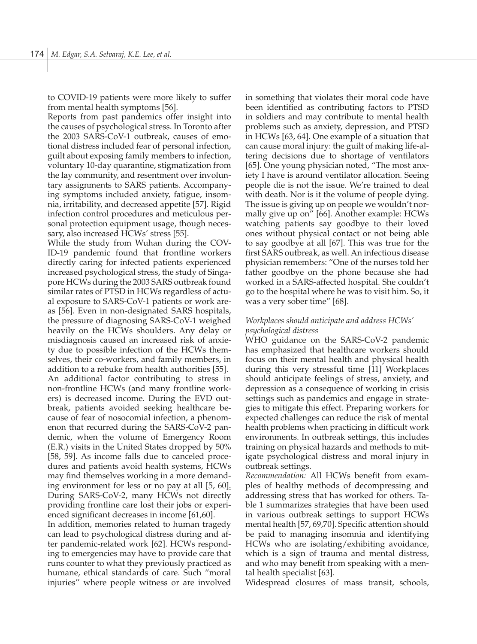to COVID-19 patients were more likely to suffer from mental health symptoms [56].

Reports from past pandemics offer insight into the causes of psychological stress. In Toronto after the 2003 SARS-CoV-1 outbreak, causes of emotional distress included fear of personal infection, guilt about exposing family members to infection, voluntary 10-day quarantine, stigmatization from the lay community, and resentment over involuntary assignments to SARS patients. Accompanying symptoms included anxiety, fatigue, insomnia, irritability, and decreased appetite [57]. Rigid infection control procedures and meticulous personal protection equipment usage, though necessary, also increased HCWs' stress [55].

While the study from Wuhan during the COV-ID-19 pandemic found that frontline workers directly caring for infected patients experienced increased psychological stress, the study of Singapore HCWs during the 2003 SARS outbreak found similar rates of PTSD in HCWs regardless of actual exposure to SARS-CoV-1 patients or work areas [56]. Even in non-designated SARS hospitals, the pressure of diagnosing SARS-CoV-1 weighed heavily on the HCWs shoulders. Any delay or misdiagnosis caused an increased risk of anxiety due to possible infection of the HCWs themselves, their co-workers, and family members, in addition to a rebuke from health authorities [55].

An additional factor contributing to stress in non-frontline HCWs (and many frontline workers) is decreased income. During the EVD outbreak, patients avoided seeking healthcare because of fear of nosocomial infection, a phenomenon that recurred during the SARS-CoV-2 pandemic, when the volume of Emergency Room (E.R.) visits in the United States dropped by 50% [58, 59]. As income falls due to canceled procedures and patients avoid health systems, HCWs may find themselves working in a more demanding environment for less or no pay at all [5, 60]. During SARS-CoV-2, many HCWs not directly providing frontline care lost their jobs or experienced significant decreases in income [61,60].

In addition, memories related to human tragedy can lead to psychological distress during and after pandemic-related work [62]. HCWs responding to emergencies may have to provide care that runs counter to what they previously practiced as humane, ethical standards of care. Such "moral injuries'' where people witness or are involved in something that violates their moral code have been identified as contributing factors to PTSD in soldiers and may contribute to mental health problems such as anxiety, depression, and PTSD in HCWs [63, 64]. One example of a situation that can cause moral injury: the guilt of making life-altering decisions due to shortage of ventilators [65]. One young physician noted, "The most anxiety I have is around ventilator allocation. Seeing people die is not the issue. We're trained to deal with death. Nor is it the volume of people dying. The issue is giving up on people we wouldn't normally give up on" [66]. Another example: HCWs watching patients say goodbye to their loved ones without physical contact or not being able to say goodbye at all [67]. This was true for the first SARS outbreak, as well. An infectious disease physician remembers: "One of the nurses told her father goodbye on the phone because she had worked in a SARS-affected hospital. She couldn't go to the hospital where he was to visit him. So, it was a very sober time" [68].

# *Workplaces should anticipate and address HCWs' psychological distress*

WHO guidance on the SARS-CoV-2 pandemic has emphasized that healthcare workers should focus on their mental health and physical health during this very stressful time [11] Workplaces should anticipate feelings of stress, anxiety, and depression as a consequence of working in crisis settings such as pandemics and engage in strategies to mitigate this effect. Preparing workers for expected challenges can reduce the risk of mental health problems when practicing in difficult work environments. In outbreak settings, this includes training on physical hazards and methods to mitigate psychological distress and moral injury in outbreak settings.

*Recommendation:* All HCWs benefit from examples of healthy methods of decompressing and addressing stress that has worked for others. Table 1 summarizes strategies that have been used in various outbreak settings to support HCWs mental health [57, 69,70]. Specific attention should be paid to managing insomnia and identifying HCWs who are isolating/exhibiting avoidance, which is a sign of trauma and mental distress, and who may benefit from speaking with a mental health specialist [63].

Widespread closures of mass transit, schools,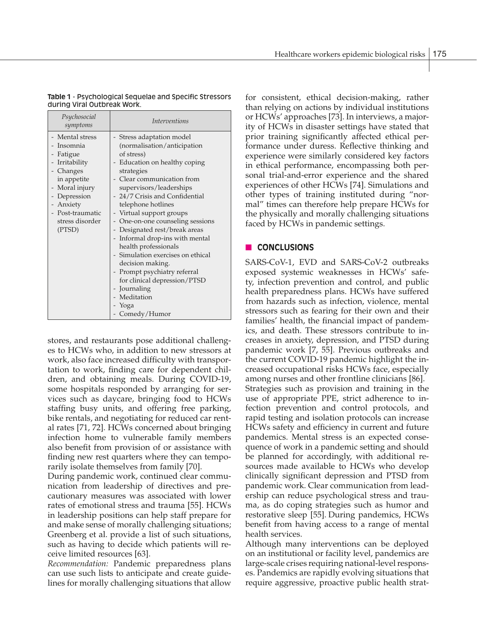| Psychosocial<br>symptoms                                                                                                                                                                 | <i>Interventions</i>                                                                                                                                                                                                                                                                                                                                                                                                                                                                                                                                                    |
|------------------------------------------------------------------------------------------------------------------------------------------------------------------------------------------|-------------------------------------------------------------------------------------------------------------------------------------------------------------------------------------------------------------------------------------------------------------------------------------------------------------------------------------------------------------------------------------------------------------------------------------------------------------------------------------------------------------------------------------------------------------------------|
| - Mental stress<br>- Insomnia<br>- Fatigue<br>- Irritability<br>- Changes<br>in appetite<br>- Moral injury<br>- Depression<br>- Anxiety<br>- Post-traumatic<br>stress disorder<br>(PTSD) | Stress adaptation model<br>(normalisation/anticipation<br>of stress)<br>Education on healthy coping<br>strategies<br>Clear communication from<br>supervisors/leaderships<br>- 24/7 Crisis and Confidential<br>telephone hotlines<br>- Virtual support groups<br>One-on-one counseling sessions<br>- Designated rest/break areas<br>- Informal drop-ins with mental<br>health professionals<br>Simulation exercises on ethical<br>decision making.<br>- Prompt psychiatry referral<br>for clinical depression/PTSD<br>Journaling<br>Meditation<br>Yoga<br>- Comedy/Humor |

| <b>Table 1</b> - Psychological Sequelae and Specific Stressors |
|----------------------------------------------------------------|
| during Viral Outbreak Work.                                    |

stores, and restaurants pose additional challenges to HCWs who, in addition to new stressors at work, also face increased difficulty with transportation to work, finding care for dependent children, and obtaining meals. During COVID-19, some hospitals responded by arranging for services such as daycare, bringing food to HCWs staffing busy units, and offering free parking, bike rentals, and negotiating for reduced car rental rates [71, 72]. HCWs concerned about bringing infection home to vulnerable family members also benefit from provision of or assistance with finding new rest quarters where they can temporarily isolate themselves from family [70].

During pandemic work, continued clear communication from leadership of directives and precautionary measures was associated with lower rates of emotional stress and trauma [55]. HCWs in leadership positions can help staff prepare for and make sense of morally challenging situations; Greenberg et al. provide a list of such situations, such as having to decide which patients will receive limited resources [63].

*Recommendation:* Pandemic preparedness plans can use such lists to anticipate and create guidelines for morally challenging situations that allow for consistent, ethical decision-making, rather than relying on actions by individual institutions or HCWs' approaches [73]. In interviews, a majority of HCWs in disaster settings have stated that prior training significantly affected ethical performance under duress. Reflective thinking and experience were similarly considered key factors in ethical performance, encompassing both personal trial-and-error experience and the shared experiences of other HCWs [74]. Simulations and other types of training instituted during "normal" times can therefore help prepare HCWs for the physically and morally challenging situations faced by HCWs in pandemic settings.

# **n CONCLUSIONS**

SARS-CoV-1, EVD and SARS-CoV-2 outbreaks exposed systemic weaknesses in HCWs' safety, infection prevention and control, and public health preparedness plans. HCWs have suffered from hazards such as infection, violence, mental stressors such as fearing for their own and their families' health, the financial impact of pandemics, and death. These stressors contribute to increases in anxiety, depression, and PTSD during pandemic work [7, 55]. Previous outbreaks and the current COVID-19 pandemic highlight the increased occupational risks HCWs face, especially among nurses and other frontline clinicians [86]. Strategies such as provision and training in the use of appropriate PPE, strict adherence to infection prevention and control protocols, and rapid testing and isolation protocols can increase HCWs safety and efficiency in current and future pandemics. Mental stress is an expected consequence of work in a pandemic setting and should be planned for accordingly, with additional resources made available to HCWs who develop clinically significant depression and PTSD from pandemic work. Clear communication from leadership can reduce psychological stress and trauma, as do coping strategies such as humor and restorative sleep [55]. During pandemics, HCWs benefit from having access to a range of mental health services.

Although many interventions can be deployed on an institutional or facility level, pandemics are large-scale crises requiring national-level responses. Pandemics are rapidly evolving situations that require aggressive, proactive public health strat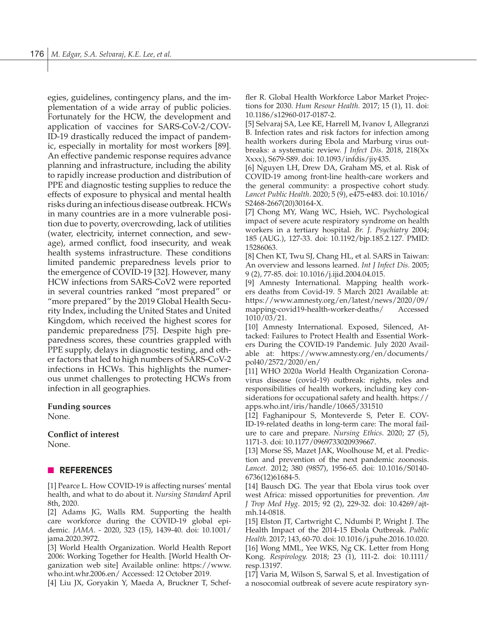egies, guidelines, contingency plans, and the implementation of a wide array of public policies. Fortunately for the HCW, the development and application of vaccines for SARS-CoV-2/COV-ID-19 drastically reduced the impact of pandemic, especially in mortality for most workers [89]. An effective pandemic response requires advance planning and infrastructure, including the ability to rapidly increase production and distribution of PPE and diagnostic testing supplies to reduce the effects of exposure to physical and mental health risks during an infectious disease outbreak. HCWs in many countries are in a more vulnerable position due to poverty, overcrowding, lack of utilities (water, electricity, internet connection, and sewage), armed conflict, food insecurity, and weak health systems infrastructure. These conditions limited pandemic preparedness levels prior to the emergence of COVID-19 [32]. However, many HCW infections from SARS-CoV2 were reported in several countries ranked "most prepared" or "more prepared" by the 2019 Global Health Security Index, including the United States and United Kingdom, which received the highest scores for pandemic preparedness [75]. Despite high preparedness scores, these countries grappled with PPE supply, delays in diagnostic testing, and other factors that led to high numbers of SARS-CoV-2 infections in HCWs. This highlights the numerous unmet challenges to protecting HCWs from infection in all geographies.

#### **Funding sources**

None.

## **Conflict of interest**

None.

# n **REFERENCES**

[1] Pearce L. How COVID-19 is affecting nurses' mental health, and what to do about it. *Nursing Standard* April 8th, 2020.

[2] Adams JG, Walls RM. Supporting the health care workforce during the COVID-19 global epidemic. *JAMA*. - 2020, 323 (15), 1439-40. doi: 10.1001/ jama.2020.3972.

[3] World Health Organization. World Health Report 2006: Working Together for Health. [World Health Organization web site] Available online: https://www. who.int.whr.2006.en/ Accessed: 12 October 2019.

[4] Liu JX, Goryakin Y, Maeda A, Bruckner T, Schef-

fler R. Global Health Workforce Labor Market Projections for 2030. *Hum Resour Health.* 2017; 15 (1), 11. doi: 10.1186/s12960-017-0187-2.

[5] Selvaraj SA, Lee KE, Harrell M, Ivanov I, Allegranzi B. Infection rates and risk factors for infection among health workers during Ebola and Marburg virus outbreaks: a systematic review. *J Infect Dis*. 2018, 218(Xx Xxxx), S679-S89. doi: 10.1093/infdis/jiy435.

[6] Nguyen LH, Drew DA, Graham MS, et al. Risk of COVID-19 among front-line health-care workers and the general community: a prospective cohort study. *Lancet Public Health*. 2020; 5 (9), e475-e483. doi: 10.1016/ S2468-2667(20)30164-X.

[7] Chong MY, Wang WC, Hsieh, WC. Psychological impact of severe acute respiratory syndrome on health workers in a tertiary hospital. *Br. J. Psychiatry* 2004; 185 (AUG.), 127-33. doi: 10.1192/bjp.185.2.127. PMID: 15286063.

[8] Chen KT, Twu SJ, Chang HL, et al. SARS in Taiwan: An overview and lessons learned. *Int J Infect Dis.* 2005; 9 (2), 77-85. doi: 10.1016/j.ijid.2004.04.015.

[9] Amnesty International. Mapping health workers deaths from Covid-19. 5 March 2021 Available at: https://www.amnesty.org/en/latest/news/2020/09/ mapping-covid19-health-worker-deaths/ Accessed 1010/03/21.

[10] Amnesty International. Exposed, Silenced, Attacked: Failures to Protect Health and Essential Workers During the COVID-19 Pandemic. July 2020 Available at: https://www.amnesty.org/en/documents/ pol40/2572/2020/en/

[11] WHO 2020a World Health Organization Coronavirus disease (covid-19) outbreak: rights, roles and responsibilities of health workers, including key considerations for occupational safety and health. https:// apps.who.int/iris/handle/10665/331510

[12] Faghanipour S, Monteverde S, Peter E. COV-ID-19-related deaths in long-term care: The moral failure to care and prepare. *Nursing Ethics*. 2020; 27 (5), 1171-3. doi: 10.1177/0969733020939667.

[13] Morse SS, Mazet JAK, Woolhouse M, et al. Prediction and prevention of the next pandemic zoonosis. *Lancet.* 2012; 380 (9857), 1956-65. doi: 10.1016/S0140- 6736(12)61684-5.

[14] Bausch DG. The year that Ebola virus took over west Africa: missed opportunities for prevention. *Am J Trop Med Hyg*. 2015; 92 (2), 229-32. doi: 10.4269/ajtmh.14-0818.

[15] Elston JT, Cartwright C, Ndumbi P, Wright J. The Health Impact of the 2014-15 Ebola Outbreak. *Public Health.* 2017; 143, 60-70. doi: 10.1016/j.puhe.2016.10.020. [16] Wong MML, Yee WKS, Ng CK. Letter from Hong Kong. *Respirology.* 2018; 23 (1), 111-2. doi: 10.1111/ resp.13197.

[17] Varia M, Wilson S, Sarwal S, et al. Investigation of a nosocomial outbreak of severe acute respiratory syn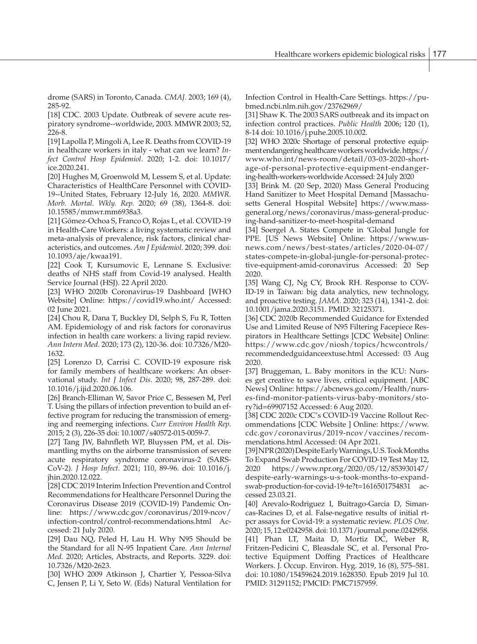drome (SARS) in Toronto, Canada. *CMAJ.* 2003; 169 (4), 285-92.

[18] CDC. 2003 Update. Outbreak of severe acute respiratory syndrome--worldwide, 2003. MMWR 2003; 52, 226-8.

[19] Lapolla P, Mingoli A, Lee R. Deaths from COVID-19 in healthcare workers in italy - what can we learn? *Infect Control Hosp Epidemiol*. 2020; 1-2. doi: 10.1017/ ice.2020.241.

[20] Hughes M, Groenwold M, Lessem S, et al. Update: Characteristics of HealthCare Personnel with COVID-19--United States, February 12-July 16, 2020. *MMWR. Morb. Mortal. Wkly. Rep.* 2020; 69 (38), 1364-8. doi: 10.15585/mmwr.mm6938a3.

[21] Gómez-Ochoa S, Franco O, Rojas L, et al. COVID-19 in Health-Care Workers: a living systematic review and meta-analysis of prevalence, risk factors, clinical characteristics, and outcomes. *Am J Epidemiol.* 2020; 399. doi: 10.1093/aje/kwaa191.

[22] Cook T, Kursumovic E, Lennane S. Exclusive: deaths of NHS staff from Covid-19 analysed. Health Service Journal (HSJ). 22 April 2020.

[23] WHO 2020b Coronavirus-19 Dashboard [WHO Website] Online: https://covid19.who.int/ Accessed: 02 June 2021.

[24] Chou R, Dana T, Buckley DI, Selph S, Fu R, Totten AM. Epidemiology of and risk factors for coronavirus infection in health care workers: a living rapid review. *Ann Intern Med.* 2020; 173 (2), 120-36. doi: 10.7326/M20- 1632.

[25] Lorenzo D, Carrisi C. COVID-19 exposure risk for family members of healthcare workers: An observational study. *Int J Infect Dis*. 2020; 98, 287-289. doi: 10.1016/j.ijid.2020.06.106.

[26] Branch-Elliman W, Savor Price C, Bessesen M, Perl T. Using the pillars of infection prevention to build an effective program for reducing the transmission of emerging and reemerging infections. *Curr Environ Health Rep*. 2015; 2 (3), 226-35 doi: 10.1007/s40572-015-0059-7.

[27] Tang JW, Bahnfleth WP, Bluyssen PM, et al. Dismantling myths on the airborne transmission of severe acute respiratory syndrome coronavirus-2 (SARS-CoV-2). *J Hosp Infect.* 2021; 110, 89-96. doi: 10.1016/j. jhin.2020.12.022.

[28] CDC 2019 Interim Infection Prevention and Control Recommendations for Healthcare Personnel During the Coronavirus Disease 2019 (COVID-19) Pandemic Online: https://www.cdc.gov/coronavirus/2019-ncov/ infection-control/control-recommendations.html Accessed: 21 July 2020.

[29] Dau NQ, Peled H, Lau H. Why N95 Should be the Standard for all N-95 Inpatient Care. *Ann Internal Med.* 2020; Articles, Abstracts, and Reports. 3229. doi: 10.7326/M20-2623.

[30] WHO 2009 Atkinson J, Chartier Y, Pessoa-Silva C, Jensen P, Li Y, Seto W. (Eds) Natural Ventilation for Infection Control in Health-Care Settings. https://pubmed.ncbi.nlm.nih.gov/23762969/

[31] Shaw K. The 2003 SARS outbreak and its impact on infection control practices. *Public Health* 2006; 120 (1), 8-14 doi: 10.1016/j.puhe.2005.10.002.

[32] WHO 2020c Shortage of personal protective equipment endangering healthcare workers worldwide. https:// www.who.int/news-room/detail/03-03-2020-shortage-of-personal-protective-equipment-endangering-health-workers-worldwide Accessed: 24 July 2020

[33] Brink M. (20 Sep, 2020) Mass General Producing Hand Sanitizer to Meet Hospital Demand [Massachusetts General Hospital Website] https://www.massgeneral.org/news/coronavirus/mass-general-producing-hand-sanitizer-to-meet-hospital-demand

[34] Soergel A. States Compete in 'Global Jungle for PPE. [US News Website] Online: https://www.usnews.com/news/best-states/articles/2020-04-07/ states-compete-in-global-jungle-for-personal-protective-equipment-amid-coronavirus Accessed: 20 Sep 2020.

[35] Wang CJ, Ng CY, Brook RH. Response to COV-ID-19 in Taiwan: big data analytics, new technology, and proactive testing. *JAMA.* 2020; 323 (14), 1341-2. doi: 10.1001/jama.2020.3151. PMID: 32125371.

[36] CDC 2020b Recommended Guidance for Extended Use and Limited Reuse of N95 Filtering Facepiece Respirators in Healthcare Settings [CDC Website] Online: https://www.cdc.gov/niosh/topics/hcwcontrols/ recommendedguidanceextuse.html Accessed: 03 Aug 2020.

[37] Bruggeman, L. Baby monitors in the ICU: Nurses get creative to save lives, critical equipment. [ABC News] Online: https://abcnews.go.com/Health/nurses-find-monitor-patients-virus-baby-monitors/story?id=69907152 Accessed: 6 Aug 2020.

[38] CDC 2020c CDC's COVID-19 Vaccine Rollout Recommendations [CDC Website ] Online: https://www. cdc.gov/coronavirus/2019-ncov/vaccines/recommendations.html Accessed: 04 Apr 2021.

[39] NPR (2020) Despite Early Warnings, U.S. Took Months To Expand Swab Production For COVID-19 Test May 12, 2020 https://www.npr.org/2020/05/12/853930147/ despite-early-warnings-u-s-took-months-to-expandswab-production-for-covid-19-te?t=1616501754831 accessed 23.03.21.

[40] Arevalo-Rodriguez I, Buitrago-Garcia D, Simancas-Racines D, et al. False-negative results of initial rtpcr assays for Covid-19: a systematic review. *PLOS One*. 2020; 15, 12:e0242958. doi: 10.1371/journal.pone.0242958. [41] Phan LT, Maita D, Mortiz DC, Weber R, Fritzen-Pedicini C, Bleasdale SC, et al. Personal Protective Equipment Doffing Practices of Healthcare Workers. J. Occup. Environ. Hyg. 2019, 16 (8), 575–581. doi: 10.1080/15459624.2019.1628350. Epub 2019 Jul 10. PMID: 31291152; PMCID: PMC7157959.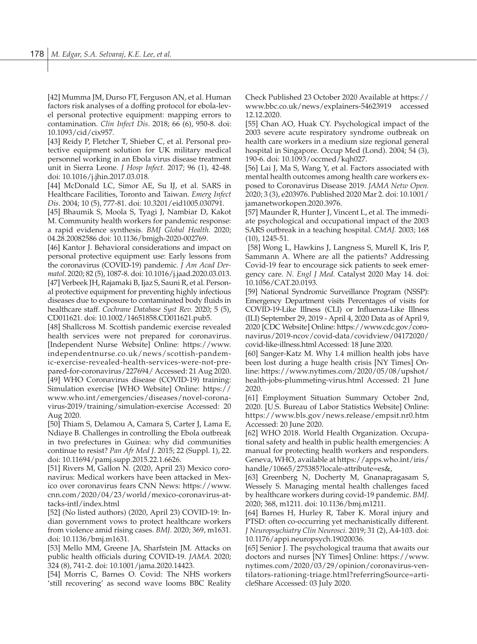[42] Mumma JM, Durso FT, Ferguson AN, et al. Human factors risk analyses of a doffing protocol for ebola-level personal protective equipment: mapping errors to contamination. *Clin Infect Dis*. 2018; 66 (6), 950-8. doi: 10.1093/cid/cix957.

[43] Reidy P, Fletcher T, Shieber C, et al. Personal protective equipment solution for UK military medical personnel working in an Ebola virus disease treatment unit in Sierra Leone. *J Hosp Infect.* 2017; 96 (1), 42-48. doi: 10.1016/j.jhin.2017.03.018.

[44] McDonald LC, Simor AE, Su IJ, et al. SARS in Healthcare Facilities, Toronto and Taiwan. *Emerg Infect Dis*. 2004; 10 (5), 777-81. doi: 10.3201/eid1005.030791.

[45] Bhaumik S, Moola S, Tyagi J, Nambiar D, Kakot M. Community health workers for pandemic response: a rapid evidence synthesis. *BMJ Global Health*. 2020; 04.28.20082586 doi: 10.1136/bmjgh-2020-002769.

[46] Kantor J. Behavioral considerations and impact on personal protective equipment use: Early lessons from the coronavirus (COVID-19) pandemic. *J Am Acad Dermatol*. 2020; 82 (5), 1087-8. doi: 10.1016/j.jaad.2020.03.013. [47] Verbeek JH, Rajamaki B, Ijaz S, Sauni R, et al. Personal protective equipment for preventing highly infectious diseases due to exposure to contaminated body fluids in healthcare staff. *Cochrane Database Syst Rev.* 2020; 5 (5), CD011621. doi: 10.1002/14651858.CD011621.pub5.

[48] Shallcross M. Scottish pandemic exercise revealed health services were not prepared for coronavirus. [Independent Nurse Website] Online: https://www. independentnurse.co.uk/news/scottish-pandemic-exercise-revealed-health-services-were-not-prepared-for-coronavirus/227694/ Accessed: 21 Aug 2020. [49] WHO Coronavirus disease (COVID-19) training: Simulation exercise [WHO Website] Online: https:// www.who.int/emergencies/diseases/novel-coronavirus-2019/training/simulation-exercise Accessed: 20 Aug 2020.

[50] Thiam S, Delamou A, Camara S, Carter J, Lama E, Ndiaye B. Challenges in controlling the Ebola outbreak in two prefectures in Guinea: why did communities continue to resist? *Pan Afr Med J.* 2015; 22 (Suppl. 1), 22. doi: 10.11694/pamj.supp.2015.22.1.6626.

[51] Rivers M, Gallon N. (2020, April 23) Mexico coronavirus: Medical workers have been attacked in Mexico over coronavirus fears CNN News: https://www. cnn.com/2020/04/23/world/mexico-coronavirus-attacks-intl/index.html

[52] (No listed authors) (2020, April 23) COVID-19: Indian government vows to protect healthcare workers from violence amid rising cases. *BMJ.* 2020; 369, m1631. doi: 10.1136/bmj.m1631.

[53] Mello MM, Greene JA, Sharfstein JM. Attacks on public health officials during COVID-19. *JAMA.* 2020; 324 (8), 741-2. doi: 10.1001/jama.2020.14423.

[54] Morris C, Barnes O. Covid: The NHS workers 'still recovering' as second wave looms BBC Reality Check Published 23 October 2020 Available at https:// www.bbc.co.uk/news/explainers-54623919 accessed 12.12.2020.

[55] Chan AO, Huak CY. Psychological impact of the 2003 severe acute respiratory syndrome outbreak on health care workers in a medium size regional general hospital in Singapore. Occup Med (Lond). 2004; 54 (3), 190-6. doi: 10.1093/occmed/kqh027.

[56] Lai J, Ma S, Wang Y, et al. Factors associated with mental health outcomes among health care workers exposed to Coronavirus Disease 2019. *JAMA Netw Open.* 2020; 3 (3), e203976. Published 2020 Mar 2. doi: 10.1001/ jamanetworkopen.2020.3976.

[57] Maunder R, Hunter J, Vincent L, et al. The immediate psychological and occupational impact of the 2003 SARS outbreak in a teaching hospital. *CMAJ.* 2003; 168 (10), 1245-51.

 [58] Wong L, Hawkins J, Langness S, Murell K, Iris P, Sammann A. Where are all the patients? Addressing Covid-19 fear to encourage sick patients to seek emergency care. *N. Engl J Med.* Catalyst 2020 May 14. doi: 10.1056/CAT.20.0193.

[59] National Syndromic Surveillance Program (NSSP): Emergency Department visits Percentages of visits for COVID-19-Like Illness (CLI) or Influenza-Like Illness (ILI) September 29, 2019 - April 4, 2020 Data as of April 9, 2020 [CDC Website] Online: https://www.cdc.gov/coronavirus/2019-ncov/covid-data/covidview/04172020/ covid-like-illness.html Accessed: 18 June 2020.

[60] Sanger-Katz M. Why 1.4 million health jobs have been lost during a huge health crisis [NY Times] Online: https://www.nytimes.com/2020/05/08/upshot/ health-jobs-plummeting-virus.html Accessed: 21 June 2020.

[61] Employment Situation Summary October 2nd, 2020. [U.S. Bureau of Labor Statistics Website] Online: https://www.bls.gov/news.release/empsit.nr0.htm Accessed: 20 June 2020.

[62] WHO 2018. World Health Organization. Occupational safety and health in public health emergencies: A manual for protecting health workers and responders. Geneva, WHO, available at https://apps.who.int/iris/ handle/10665/275385?locale-attribute=es&,

[63] Greenberg N, Docherty M, Gnanapragasam S, Wessely S. Managing mental health challenges faced by healthcare workers during covid-19 pandemic. *BMJ.* 2020; 368, m1211. doi: 10.1136/bmj.m1211.

[64] Barnes H, Hurley R, Taber K. Moral injury and PTSD: often co-occurring yet mechanistically different. *J Neuropsychiatry Clin Neurosci*. 2019; 31 (2), A4-103. doi: 10.1176/appi.neuropsych.19020036.

[65] Senior J. The psychological trauma that awaits our doctors and nurses [NY Times] Online: https://www. nytimes.com/2020/03/29/opinion/coronavirus-ventilators-rationing-triage.html?referringSource=articleShare Accessed: 03 July 2020.